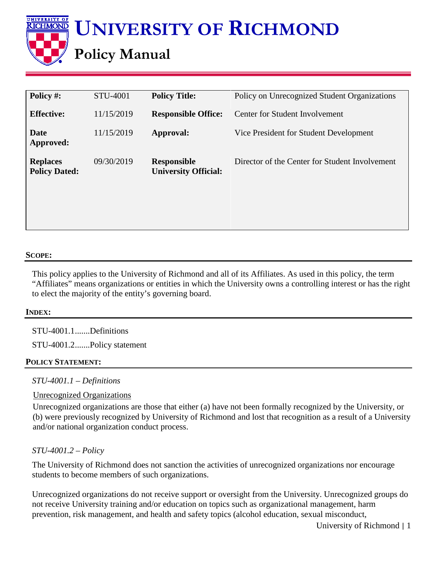

| Policy #:                               | STU-4001   | <b>Policy Title:</b>                              | Policy on Unrecognized Student Organizations   |
|-----------------------------------------|------------|---------------------------------------------------|------------------------------------------------|
| <b>Effective:</b>                       | 11/15/2019 | <b>Responsible Office:</b>                        | <b>Center for Student Involvement</b>          |
| Date<br>Approved:                       | 11/15/2019 | Approval:                                         | Vice President for Student Development         |
| <b>Replaces</b><br><b>Policy Dated:</b> | 09/30/2019 | <b>Responsible</b><br><b>University Official:</b> | Director of the Center for Student Involvement |

# **SCOPE:**

This policy applies to the University of Richmond and all of its Affiliates. As used in this policy, the term "Affiliates" means organizations or entities in which the University owns a controlling interest or has the right to elect the majority of the entity's governing board.

## **INDEX:**

STU-4001.1.......Definitions

STU-4001.2.......Policy statement

## **POLICY STATEMENT:**

*STU-4001.1 – Definitions*

# Unrecognized Organizations

Unrecognized organizations are those that either (a) have not been formally recognized by the University, or (b) were previously recognized by University of Richmond and lost that recognition as a result of a University and/or national organization conduct process.

# *STU-4001.2 – Policy*

The University of Richmond does not sanction the activities of unrecognized organizations nor encourage students to become members of such organizations.

Unrecognized organizations do not receive support or oversight from the University. Unrecognized groups do not receive University training and/or education on topics such as organizational management, harm prevention, risk management, and health and safety topics (alcohol education, sexual misconduct,

University of Richmond | 1